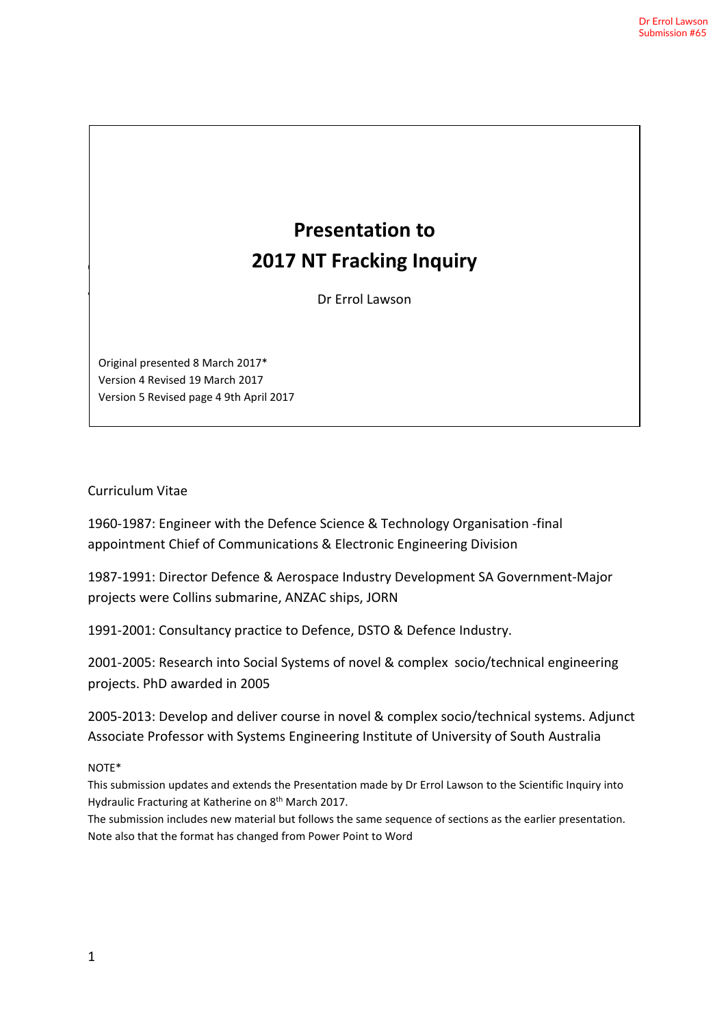# Original presented 8 March 2017\* **Presentation to 2017 NT Fracking Inquiry**

**Presentation to**

Dr Errol Lawson

Original presented 8 March 2017\* Version 4 Revised 19 March 2017 Version 5 Revised page 4 9th April 2017

 $\mathcal{V}$ 

#### Curriculum Vitae

1960-1987: Engineer with the Defence Science & Technology Organisation -final appointment Chief of Communications & Electronic Engineering Division

1987-1991: Director Defence & Aerospace Industry Development SA Government-Major projects were Collins submarine, ANZAC ships, JORN

1991-2001: Consultancy practice to Defence, DSTO & Defence Industry.

2001-2005: Research into Social Systems of novel & complex socio/technical engineering projects. PhD awarded in 2005

2005-2013: Develop and deliver course in novel & complex socio/technical systems. Adjunct Associate Professor with Systems Engineering Institute of University of South Australia

#### NOTE\*

This submission updates and extends the Presentation made by Dr Errol Lawson to the Scientific Inquiry into Hydraulic Fracturing at Katherine on 8<sup>th</sup> March 2017.

The submission includes new material but follows the same sequence of sections as the earlier presentation. Note also that the format has changed from Power Point to Word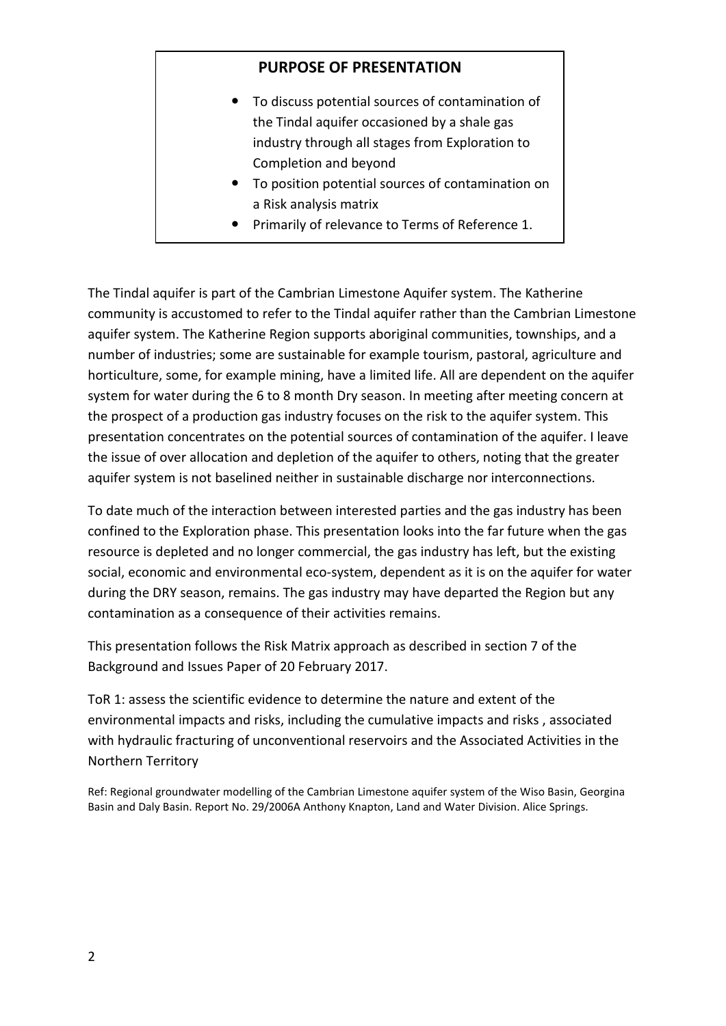# **PURPOSE OF PRESENTATION**

- To discuss potential sources of contamination of the Tindal aquifer occasioned by a shale gas industry through all stages from Exploration to Completion and beyond
- To position potential sources of contamination on a Risk analysis matrix
- Primarily of relevance to Terms of Reference 1.

The Tindal aquifer is part of the Cambrian Limestone Aquifer system. The Katherine community is accustomed to refer to the Tindal aquifer rather than the Cambrian Limestone aquifer system. The Katherine Region supports aboriginal communities, townships, and a number of industries; some are sustainable for example tourism, pastoral, agriculture and horticulture, some, for example mining, have a limited life. All are dependent on the aquifer system for water during the 6 to 8 month Dry season. In meeting after meeting concern at the prospect of a production gas industry focuses on the risk to the aquifer system. This presentation concentrates on the potential sources of contamination of the aquifer. I leave the issue of over allocation and depletion of the aquifer to others, noting that the greater aquifer system is not baselined neither in sustainable discharge nor interconnections.

To date much of the interaction between interested parties and the gas industry has been confined to the Exploration phase. This presentation looks into the far future when the gas resource is depleted and no longer commercial, the gas industry has left, but the existing social, economic and environmental eco-system, dependent as it is on the aquifer for water during the DRY season, remains. The gas industry may have departed the Region but any contamination as a consequence of their activities remains.

This presentation follows the Risk Matrix approach as described in section 7 of the Background and Issues Paper of 20 February 2017.

ToR 1: assess the scientific evidence to determine the nature and extent of the environmental impacts and risks, including the cumulative impacts and risks , associated with hydraulic fracturing of unconventional reservoirs and the Associated Activities in the Northern Territory

Ref: Regional groundwater modelling of the Cambrian Limestone aquifer system of the Wiso Basin, Georgina Basin and Daly Basin. Report No. 29/2006A Anthony Knapton, Land and Water Division. Alice Springs.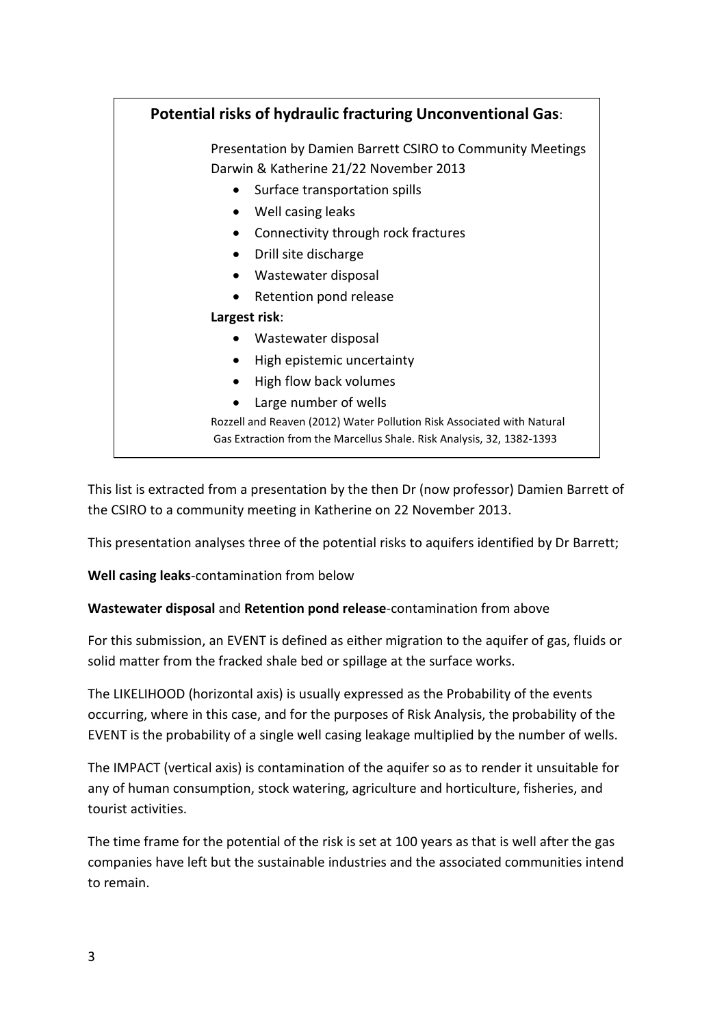| <b>Potential risks of hydraulic fracturing Unconventional Gas:</b>     |  |  |
|------------------------------------------------------------------------|--|--|
| Presentation by Damien Barrett CSIRO to Community Meetings             |  |  |
| Darwin & Katherine 21/22 November 2013                                 |  |  |
| Surface transportation spills                                          |  |  |
| Well casing leaks                                                      |  |  |
| Connectivity through rock fractures                                    |  |  |
| Drill site discharge                                                   |  |  |
| Wastewater disposal                                                    |  |  |
| Retention pond release                                                 |  |  |
| Largest risk:                                                          |  |  |
| Wastewater disposal                                                    |  |  |
| High epistemic uncertainty<br>$\bullet$                                |  |  |
| High flow back volumes                                                 |  |  |
| Large number of wells                                                  |  |  |
| Rozzell and Reaven (2012) Water Pollution Risk Associated with Natural |  |  |
| Gas Extraction from the Marcellus Shale. Risk Analysis, 32, 1382-1393  |  |  |
|                                                                        |  |  |

This list is extracted from a presentation by the then Dr (now professor) Damien Barrett of the CSIRO to a community meeting in Katherine on 22 November 2013.

This presentation analyses three of the potential risks to aquifers identified by Dr Barrett;

**Well casing leaks**-contamination from below

# **Wastewater disposal** and **Retention pond release**-contamination from above

For this submission, an EVENT is defined as either migration to the aquifer of gas, fluids or solid matter from the fracked shale bed or spillage at the surface works.

The LIKELIHOOD (horizontal axis) is usually expressed as the Probability of the events occurring, where in this case, and for the purposes of Risk Analysis, the probability of the EVENT is the probability of a single well casing leakage multiplied by the number of wells.

The IMPACT (vertical axis) is contamination of the aquifer so as to render it unsuitable for any of human consumption, stock watering, agriculture and horticulture, fisheries, and tourist activities.

The time frame for the potential of the risk is set at 100 years as that is well after the gas companies have left but the sustainable industries and the associated communities intend to remain.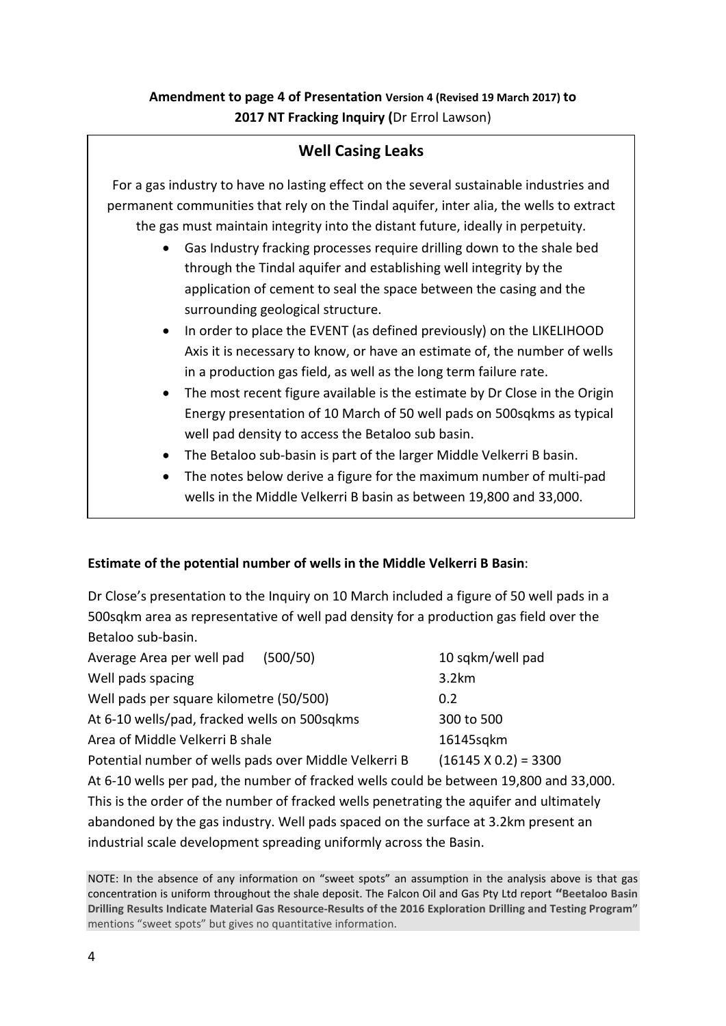# **Amendment to page 4 of Presentation Version 4 (Revised 19 March 2017) to 2017 NT Fracking Inquiry (**Dr Errol Lawson)

| <b>Well Casing Leaks</b> |                                                                                                                                                                                                                                                                                                                                                                                                                                                                                                        |  |  |
|--------------------------|--------------------------------------------------------------------------------------------------------------------------------------------------------------------------------------------------------------------------------------------------------------------------------------------------------------------------------------------------------------------------------------------------------------------------------------------------------------------------------------------------------|--|--|
|                          | For a gas industry to have no lasting effect on the several sustainable industries and<br>permanent communities that rely on the Tindal aquifer, inter alia, the wells to extract<br>the gas must maintain integrity into the distant future, ideally in perpetuity.<br>Gas Industry fracking processes require drilling down to the shale bed<br>$\bullet$<br>through the Tindal aquifer and establishing well integrity by the<br>application of cement to seal the space between the casing and the |  |  |
|                          | surrounding geological structure.<br>In order to place the EVENT (as defined previously) on the LIKELIHOOD<br>$\bullet$<br>Axis it is necessary to know, or have an estimate of, the number of wells<br>in a production gas field, as well as the long term failure rate.<br>The most recent figure available is the estimate by Dr Close in the Origin<br>$\bullet$<br>Energy presentation of 10 March of 50 well pads on 500 sqkms as typical                                                        |  |  |
|                          | well pad density to access the Betaloo sub basin.<br>The Betaloo sub-basin is part of the larger Middle Velkerri B basin.<br>The notes below derive a figure for the maximum number of multi-pad<br>$\bullet$<br>wells in the Middle Velkerri B basin as between 19,800 and 33,000.                                                                                                                                                                                                                    |  |  |

## **Estimate of the potential number of wells in the Middle Velkerri B Basin**:

Dr Close's presentation to the Inquiry on 10 March included a figure of 50 well pads in a 500sqkm area as representative of well pad density for a production gas field over the Betaloo sub-basin.

| Average Area per well pad<br>(500/50)                                                                                                                                                                                                      | 10 sqkm/well pad            |
|--------------------------------------------------------------------------------------------------------------------------------------------------------------------------------------------------------------------------------------------|-----------------------------|
| Well pads spacing                                                                                                                                                                                                                          | 3.2km                       |
| Well pads per square kilometre (50/500)                                                                                                                                                                                                    | 0.2                         |
| At 6-10 wells/pad, fracked wells on 500 sqkms                                                                                                                                                                                              | 300 to 500                  |
| Area of Middle Velkerri B shale                                                                                                                                                                                                            | 16145sqkm                   |
| Potential number of wells pads over Middle Velkerri B                                                                                                                                                                                      | $(16145 \times 0.2) = 3300$ |
| $\mathbf{a} \cdot \mathbf{c}$ and the set of the set of the set of the set of the set of the set of the set of the set of the set of the set of the set of the set of the set of the set of the set of the set of the set of the set of th |                             |

At 6-10 wells per pad, the number of fracked wells could be between 19,800 and 33,000. This is the order of the number of fracked wells penetrating the aquifer and ultimately abandoned by the gas industry. Well pads spaced on the surface at 3.2km present an industrial scale development spreading uniformly across the Basin.

NOTE: In the absence of any information on "sweet spots" an assumption in the analysis above is that gas concentration is uniform throughout the shale deposit. The Falcon Oil and Gas Pty Ltd report **"Beetaloo Basin Drilling Results Indicate Material Gas Resource-Results of the 2016 Exploration Drilling and Testing Program"**  mentions "sweet spots" but gives no quantitative information.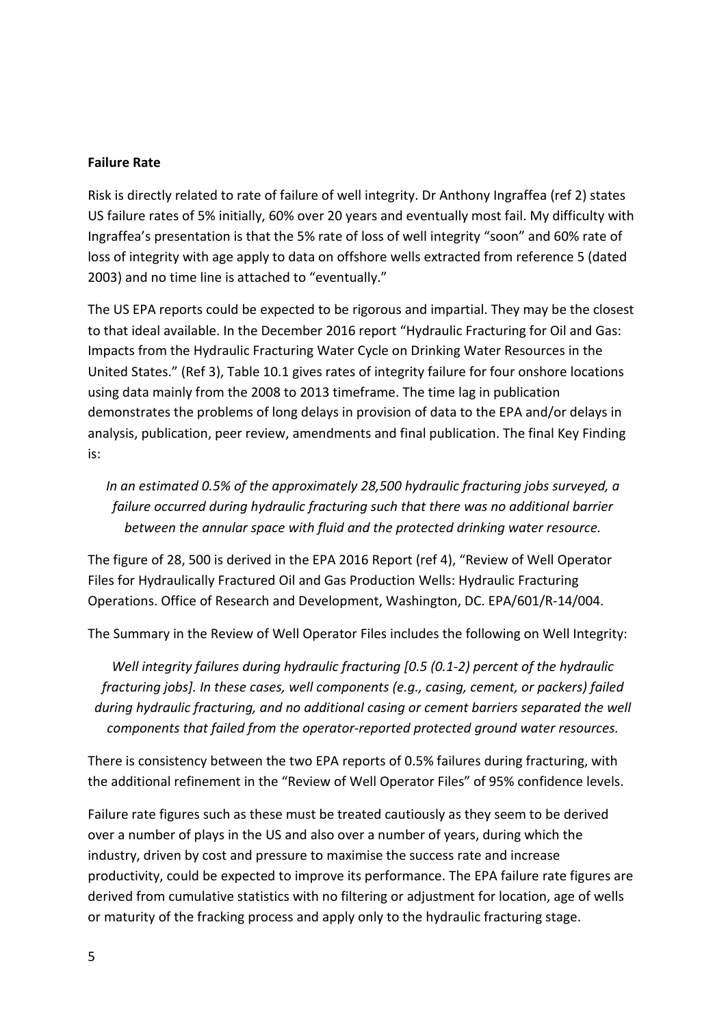#### **Failure Rate**

Risk is directly related to rate of failure of well integrity. Dr Anthony Ingraffea (ref 2) states US failure rates of 5% initially, 60% over 20 years and eventually most fail. My difficulty with Ingraffea's presentation is that the 5% rate of loss of well integrity "soon" and 60% rate of loss of integrity with age apply to data on offshore wells extracted from reference 5 (dated 2003) and no time line is attached to "eventually."

The US EPA reports could be expected to be rigorous and impartial. They may be the closest to that ideal available. In the December 2016 report "Hydraulic Fracturing for Oil and Gas: Impacts from the Hydraulic Fracturing Water Cycle on Drinking Water Resources in the United States." (Ref 3), Table 10.1 gives rates of integrity failure for four onshore locations using data mainly from the 2008 to 2013 timeframe. The time lag in publication demonstrates the problems of long delays in provision of data to the EPA and/or delays in analysis, publication, peer review, amendments and final publication. The final Key Finding is:

*In an estimated 0.5% of the approximately 28,500 hydraulic fracturing jobs surveyed, a failure occurred during hydraulic fracturing such that there was no additional barrier between the annular space with fluid and the protected drinking water resource.*

The figure of 28, 500 is derived in the EPA 2016 Report (ref 4), "Review of Well Operator Files for Hydraulically Fractured Oil and Gas Production Wells: Hydraulic Fracturing Operations. Office of Research and Development, Washington, DC. EPA/601/R-14/004.

The Summary in the Review of Well Operator Files includes the following on Well Integrity:

*Well integrity failures during hydraulic fracturing [0.5 (0.1-2) percent of the hydraulic fracturing jobs]. In these cases, well components (e.g., casing, cement, or packers) failed during hydraulic fracturing, and no additional casing or cement barriers separated the well components that failed from the operator-reported protected ground water resources.*

There is consistency between the two EPA reports of 0.5% failures during fracturing, with the additional refinement in the "Review of Well Operator Files" of 95% confidence levels.

Failure rate figures such as these must be treated cautiously as they seem to be derived over a number of plays in the US and also over a number of years, during which the industry, driven by cost and pressure to maximise the success rate and increase productivity, could be expected to improve its performance. The EPA failure rate figures are derived from cumulative statistics with no filtering or adjustment for location, age of wells or maturity of the fracking process and apply only to the hydraulic fracturing stage.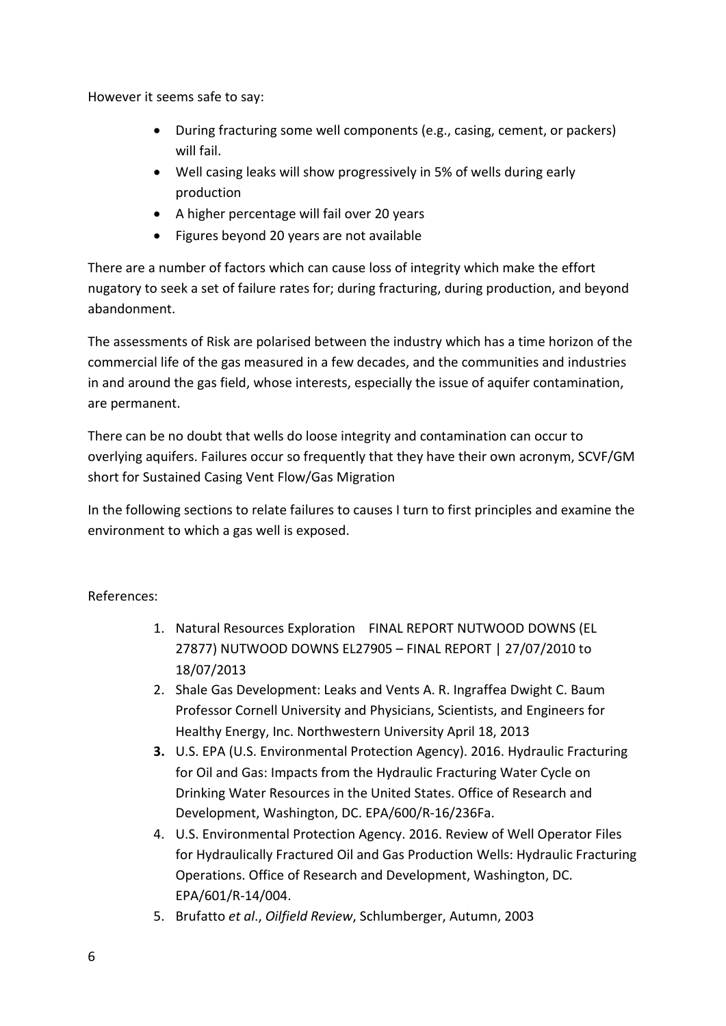However it seems safe to say:

- During fracturing some well components (e.g., casing, cement, or packers) will fail.
- Well casing leaks will show progressively in 5% of wells during early production
- A higher percentage will fail over 20 years
- Figures beyond 20 years are not available

There are a number of factors which can cause loss of integrity which make the effort nugatory to seek a set of failure rates for; during fracturing, during production, and beyond abandonment.

The assessments of Risk are polarised between the industry which has a time horizon of the commercial life of the gas measured in a few decades, and the communities and industries in and around the gas field, whose interests, especially the issue of aquifer contamination, are permanent.

There can be no doubt that wells do loose integrity and contamination can occur to overlying aquifers. Failures occur so frequently that they have their own acronym, SCVF/GM short for Sustained Casing Vent Flow/Gas Migration

In the following sections to relate failures to causes I turn to first principles and examine the environment to which a gas well is exposed.

References:

- 1. Natural Resources Exploration FINAL REPORT NUTWOOD DOWNS (EL 27877) NUTWOOD DOWNS EL27905 – FINAL REPORT | 27/07/2010 to 18/07/2013
- 2. Shale Gas Development: Leaks and Vents A. R. Ingraffea Dwight C. Baum Professor Cornell University and Physicians, Scientists, and Engineers for Healthy Energy, Inc. Northwestern University April 18, 2013
- **3.** U.S. EPA (U.S. Environmental Protection Agency). 2016. Hydraulic Fracturing for Oil and Gas: Impacts from the Hydraulic Fracturing Water Cycle on Drinking Water Resources in the United States. Office of Research and Development, Washington, DC. EPA/600/R-16/236Fa.
- 4. U.S. Environmental Protection Agency. 2016. Review of Well Operator Files for Hydraulically Fractured Oil and Gas Production Wells: Hydraulic Fracturing Operations. Office of Research and Development, Washington, DC. EPA/601/R-14/004.
- 5. Brufatto *et al*., *Oilfield Review*, Schlumberger, Autumn, 2003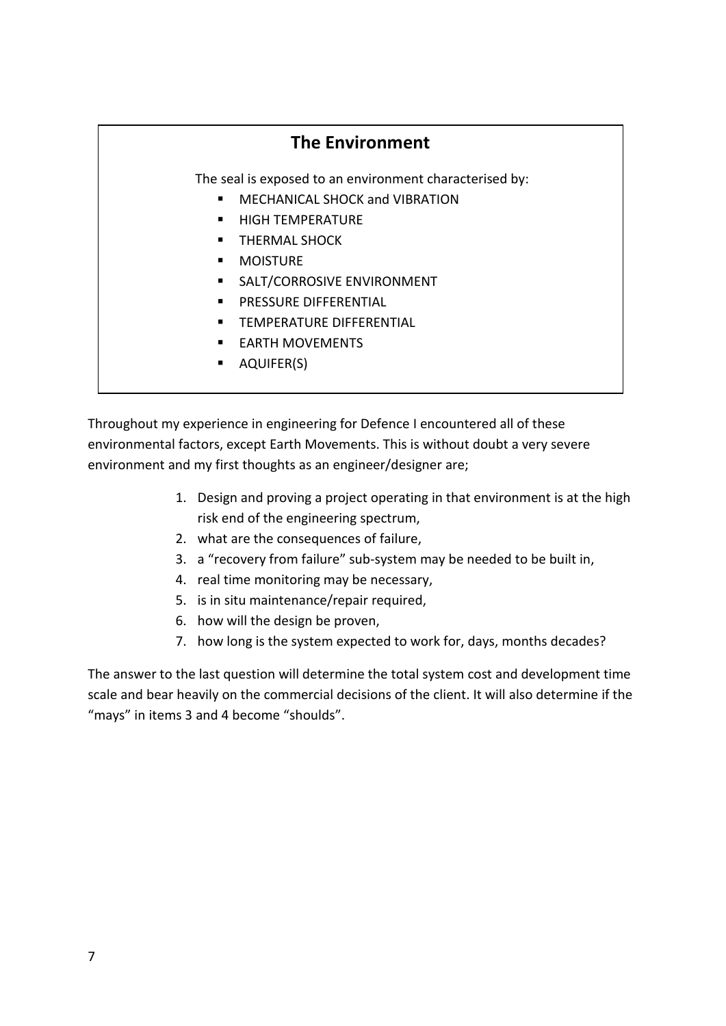# **The Environment**

The seal is exposed to an environment characterised by:

- MECHANICAL SHOCK and VIBRATION
- HIGH TEMPERATURE
- THERMAL SHOCK
- **MOISTURE**
- **SALT/CORROSIVE ENVIRONMENT**
- PRESSURE DIFFERENTIAL
- TEMPERATURE DIFFERENTIAL
- **EARTH MOVEMENTS**
- AQUIFER(S)

Throughout my experience in engineering for Defence I encountered all of these environmental factors, except Earth Movements. This is without doubt a very severe environment and my first thoughts as an engineer/designer are;

- 1. Design and proving a project operating in that environment is at the high risk end of the engineering spectrum,
- 2. what are the consequences of failure,
- 3. a "recovery from failure" sub-system may be needed to be built in,
- 4. real time monitoring may be necessary,
- 5. is in situ maintenance/repair required,
- 6. how will the design be proven,
- 7. how long is the system expected to work for, days, months decades?

The answer to the last question will determine the total system cost and development time scale and bear heavily on the commercial decisions of the client. It will also determine if the "mays" in items 3 and 4 become "shoulds".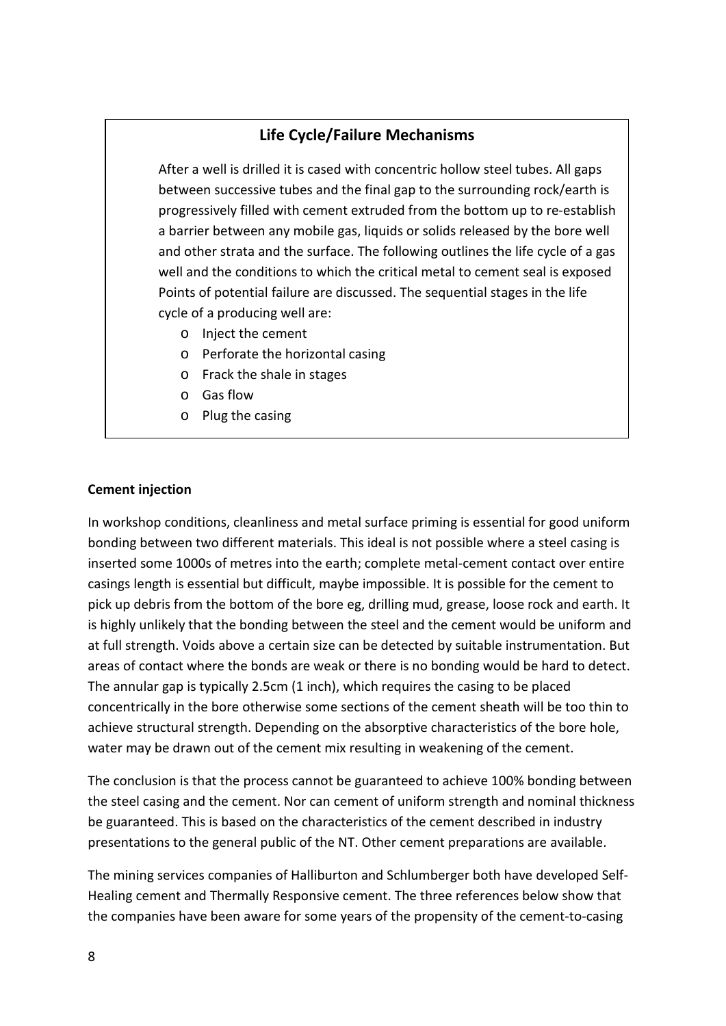# **Life Cycle/Failure Mechanisms**

After a well is drilled it is cased with concentric hollow steel tubes. All gaps between successive tubes and the final gap to the surrounding rock/earth is progressively filled with cement extruded from the bottom up to re-establish a barrier between any mobile gas, liquids or solids released by the bore well and other strata and the surface. The following outlines the life cycle of a gas well and the conditions to which the critical metal to cement seal is exposed Points of potential failure are discussed. The sequential stages in the life cycle of a producing well are:

- o Inject the cement
- o Perforate the horizontal casing
- o Frack the shale in stages
- o Gas flow
- o Plug the casing

#### **Cement injection**

In workshop conditions, cleanliness and metal surface priming is essential for good uniform bonding between two different materials. This ideal is not possible where a steel casing is inserted some 1000s of metres into the earth; complete metal-cement contact over entire casings length is essential but difficult, maybe impossible. It is possible for the cement to pick up debris from the bottom of the bore eg, drilling mud, grease, loose rock and earth. It is highly unlikely that the bonding between the steel and the cement would be uniform and at full strength. Voids above a certain size can be detected by suitable instrumentation. But areas of contact where the bonds are weak or there is no bonding would be hard to detect. The annular gap is typically 2.5cm (1 inch), which requires the casing to be placed concentrically in the bore otherwise some sections of the cement sheath will be too thin to achieve structural strength. Depending on the absorptive characteristics of the bore hole, water may be drawn out of the cement mix resulting in weakening of the cement.

The conclusion is that the process cannot be guaranteed to achieve 100% bonding between the steel casing and the cement. Nor can cement of uniform strength and nominal thickness be guaranteed. This is based on the characteristics of the cement described in industry presentations to the general public of the NT. Other cement preparations are available.

The mining services companies of Halliburton and Schlumberger both have developed Self-Healing cement and Thermally Responsive cement. The three references below show that the companies have been aware for some years of the propensity of the cement-to-casing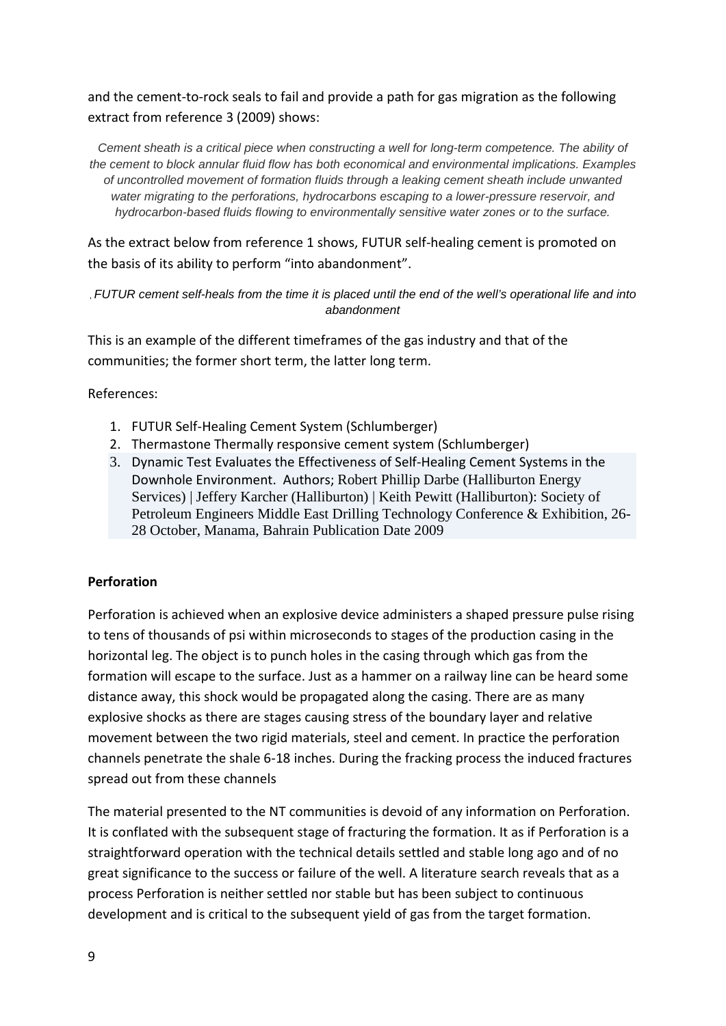and the cement-to-rock seals to fail and provide a path for gas migration as the following extract from reference 3 (2009) shows:

*Cement sheath is a critical piece when constructing a well for long-term competence. The ability of the cement to block annular fluid flow has both economical and environmental implications. Examples of uncontrolled movement of formation fluids through a leaking cement sheath include unwanted water migrating to the perforations, hydrocarbons escaping to a lower-pressure reservoir, and hydrocarbon-based fluids flowing to environmentally sensitive water zones or to the surface.*

As the extract below from reference 1 shows, FUTUR self-healing cement is promoted on the basis of its ability to perform "into abandonment".

, *FUTUR cement self-heals from the time it is placed until the end of the well's operational life and into abandonment*

This is an example of the different timeframes of the gas industry and that of the communities; the former short term, the latter long term.

References:

- 1. FUTUR Self-Healing Cement System (Schlumberger)
- 2. Thermastone Thermally responsive cement system (Schlumberger)
- 3. Dynamic Test Evaluates the Effectiveness of Self-Healing Cement Systems in the Downhole Environment. Authors; [Robert Phillip Darbe](https://www.onepetro.org/search?q=dc_creator%3A%28%22Darbe%2C+Robert+Phillip%22%29) [\(Halliburton Energy](https://www.onepetro.org/search?q=affiliation%3A%28%22Halliburton+Energy+Services%22%29)  [Services\)](https://www.onepetro.org/search?q=affiliation%3A%28%22Halliburton+Energy+Services%22%29) | [Jeffery Karcher](https://www.onepetro.org/search?q=dc_creator%3A%28%22Karcher%2C+Jeffery%22%29) [\(Halliburton\)](https://www.onepetro.org/search?q=affiliation%3A%28%22Halliburton%22%29) | [Keith Pewitt](https://www.onepetro.org/search?q=dc_creator%3A%28%22Pewitt%2C+Keith%22%29) [\(Halliburton\):](https://www.onepetro.org/search?q=affiliation%3A%28%22Halliburton%22%29) [Society of](https://www.onepetro.org/search?q=dc_publisher%3A%28%22Society+of+Petroleum+Engineers%22%29)  [Petroleum Engineers](https://www.onepetro.org/search?q=dc_publisher%3A%28%22Society+of+Petroleum+Engineers%22%29) Middle East Drilling Technology Conference & Exhibition, 26- 28 October, Manama, Bahrain Publication Date 2009

## **Perforation**

Perforation is achieved when an explosive device administers a shaped pressure pulse rising to tens of thousands of psi within microseconds to stages of the production casing in the horizontal leg. The object is to punch holes in the casing through which gas from the formation will escape to the surface. Just as a hammer on a railway line can be heard some distance away, this shock would be propagated along the casing. There are as many explosive shocks as there are stages causing stress of the boundary layer and relative movement between the two rigid materials, steel and cement. In practice the perforation channels penetrate the shale 6-18 inches. During the fracking process the induced fractures spread out from these channels

The material presented to the NT communities is devoid of any information on Perforation. It is conflated with the subsequent stage of fracturing the formation. It as if Perforation is a straightforward operation with the technical details settled and stable long ago and of no great significance to the success or failure of the well. A literature search reveals that as a process Perforation is neither settled nor stable but has been subject to continuous development and is critical to the subsequent yield of gas from the target formation.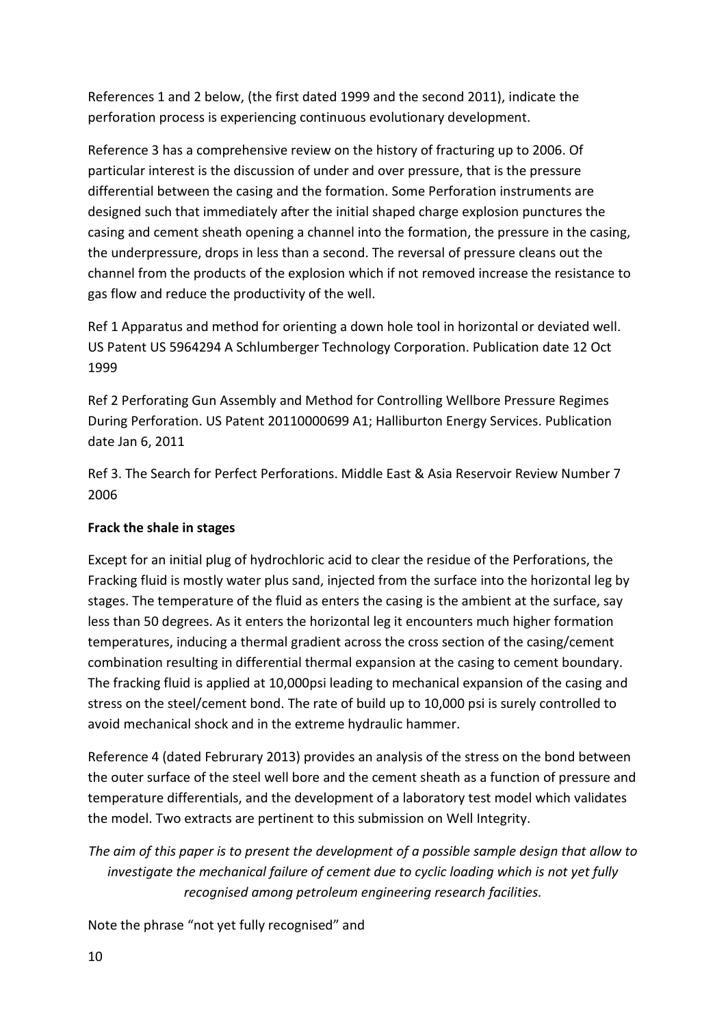References 1 and 2 below, (the first dated 1999 and the second 2011), indicate the perforation process is experiencing continuous evolutionary development.

Reference 3 has a comprehensive review on the history of fracturing up to 2006. Of particular interest is the discussion of under and over pressure, that is the pressure differential between the casing and the formation. Some Perforation instruments are designed such that immediately after the initial shaped charge explosion punctures the casing and cement sheath opening a channel into the formation, the pressure in the casing, the underpressure, drops in less than a second. The reversal of pressure cleans out the channel from the products of the explosion which if not removed increase the resistance to gas flow and reduce the productivity of the well.

Ref 1 Apparatus and method for orienting a down hole tool in horizontal or deviated well. US Patent US 5964294 A Schlumberger Technology Corporation. Publication date 12 Oct 1999

Ref 2 Perforating Gun Assembly and Method for Controlling Wellbore Pressure Regimes During Perforation. US Patent 20110000699 A1; Halliburton Energy Services. Publication date Jan 6, 2011

Ref 3. The Search for Perfect Perforations. Middle East & Asia Reservoir Review Number 7 2006

# **Frack the shale in stages**

Except for an initial plug of hydrochloric acid to clear the residue of the Perforations, the Fracking fluid is mostly water plus sand, injected from the surface into the horizontal leg by stages. The temperature of the fluid as enters the casing is the ambient at the surface, say less than 50 degrees. As it enters the horizontal leg it encounters much higher formation temperatures, inducing a thermal gradient across the cross section of the casing/cement combination resulting in differential thermal expansion at the casing to cement boundary. The fracking fluid is applied at 10,000psi leading to mechanical expansion of the casing and stress on the steel/cement bond. The rate of build up to 10,000 psi is surely controlled to avoid mechanical shock and in the extreme hydraulic hammer.

Reference 4 (dated Februrary 2013) provides an analysis of the stress on the bond between the outer surface of the steel well bore and the cement sheath as a function of pressure and temperature differentials, and the development of a laboratory test model which validates the model. Two extracts are pertinent to this submission on Well Integrity.

*The aim of this paper is to present the development of a possible sample design that allow to investigate the mechanical failure of cement due to cyclic loading which is not yet fully recognised among petroleum engineering research facilities.*

Note the phrase "not yet fully recognised" and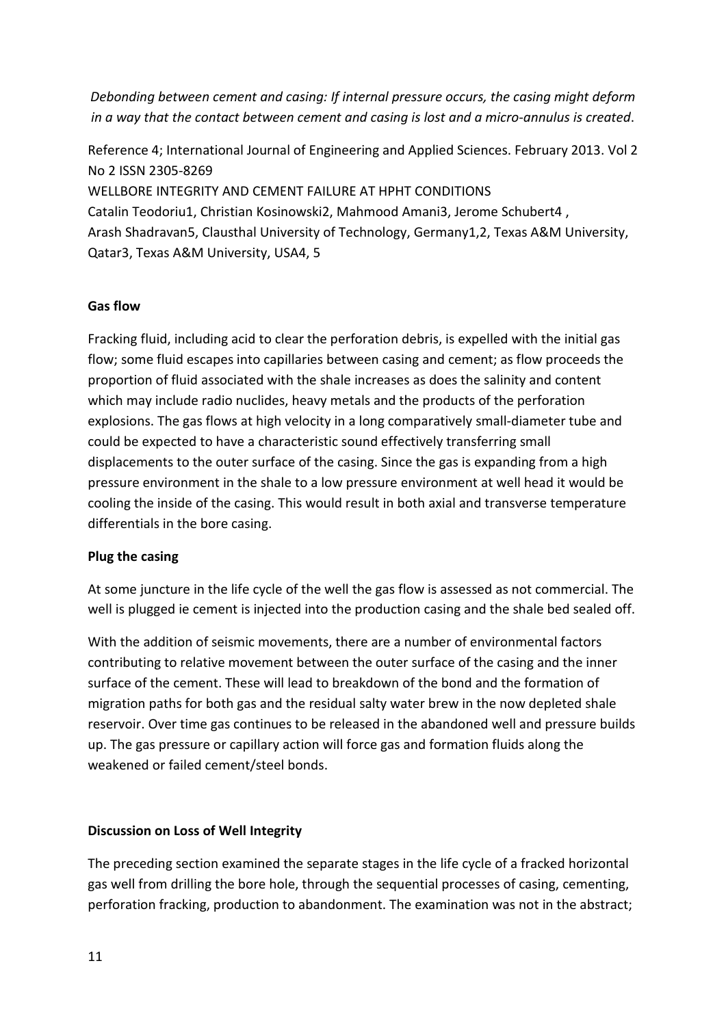*Debonding between cement and casing: If internal pressure occurs, the casing might deform in a way that the contact between cement and casing is lost and a micro-annulus is created*.

Reference 4; International Journal of Engineering and Applied Sciences. February 2013. Vol 2 No 2 ISSN 2305-8269 WELLBORE INTEGRITY AND CEMENT FAILURE AT HPHT CONDITIONS Catalin Teodoriu1, Christian Kosinowski2, Mahmood Amani3, Jerome Schubert4 , Arash Shadravan5, Clausthal University of Technology, Germany1,2, Texas A&M University, Qatar3, Texas A&M University, USA4, 5

## **Gas flow**

Fracking fluid, including acid to clear the perforation debris, is expelled with the initial gas flow; some fluid escapes into capillaries between casing and cement; as flow proceeds the proportion of fluid associated with the shale increases as does the salinity and content which may include radio nuclides, heavy metals and the products of the perforation explosions. The gas flows at high velocity in a long comparatively small-diameter tube and could be expected to have a characteristic sound effectively transferring small displacements to the outer surface of the casing. Since the gas is expanding from a high pressure environment in the shale to a low pressure environment at well head it would be cooling the inside of the casing. This would result in both axial and transverse temperature differentials in the bore casing.

#### **Plug the casing**

At some juncture in the life cycle of the well the gas flow is assessed as not commercial. The well is plugged ie cement is injected into the production casing and the shale bed sealed off.

With the addition of seismic movements, there are a number of environmental factors contributing to relative movement between the outer surface of the casing and the inner surface of the cement. These will lead to breakdown of the bond and the formation of migration paths for both gas and the residual salty water brew in the now depleted shale reservoir. Over time gas continues to be released in the abandoned well and pressure builds up. The gas pressure or capillary action will force gas and formation fluids along the weakened or failed cement/steel bonds.

## **Discussion on Loss of Well Integrity**

The preceding section examined the separate stages in the life cycle of a fracked horizontal gas well from drilling the bore hole, through the sequential processes of casing, cementing, perforation fracking, production to abandonment. The examination was not in the abstract;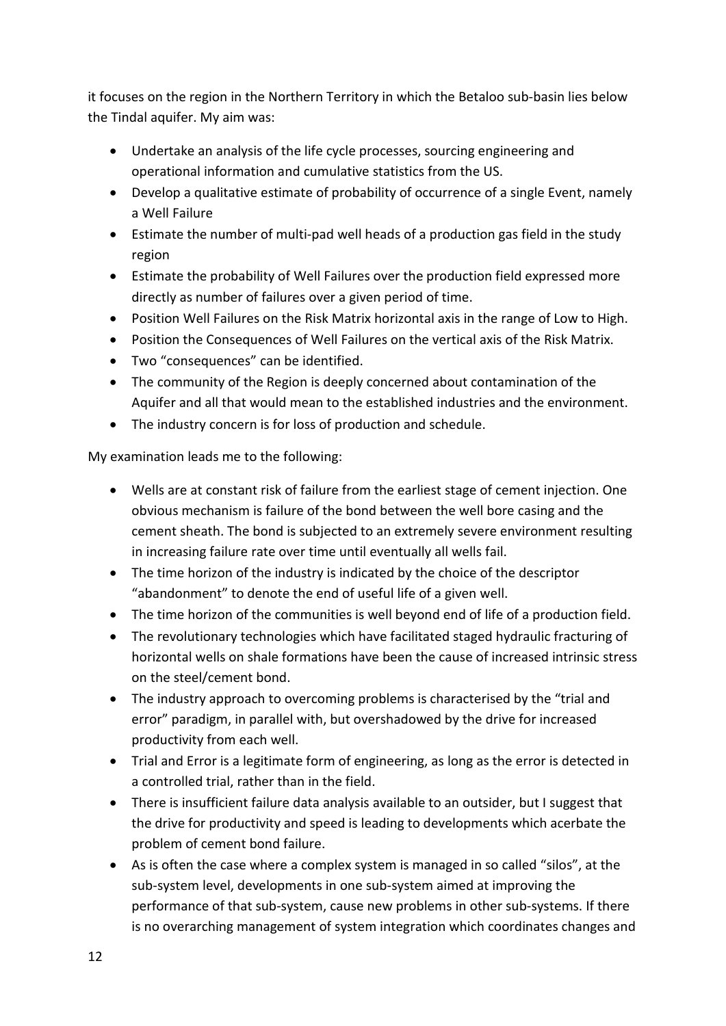it focuses on the region in the Northern Territory in which the Betaloo sub-basin lies below the Tindal aquifer. My aim was:

- Undertake an analysis of the life cycle processes, sourcing engineering and operational information and cumulative statistics from the US.
- Develop a qualitative estimate of probability of occurrence of a single Event, namely a Well Failure
- Estimate the number of multi-pad well heads of a production gas field in the study region
- Estimate the probability of Well Failures over the production field expressed more directly as number of failures over a given period of time.
- Position Well Failures on the Risk Matrix horizontal axis in the range of Low to High.
- Position the Consequences of Well Failures on the vertical axis of the Risk Matrix.
- Two "consequences" can be identified.
- The community of the Region is deeply concerned about contamination of the Aquifer and all that would mean to the established industries and the environment.
- The industry concern is for loss of production and schedule.

My examination leads me to the following:

- Wells are at constant risk of failure from the earliest stage of cement injection. One obvious mechanism is failure of the bond between the well bore casing and the cement sheath. The bond is subjected to an extremely severe environment resulting in increasing failure rate over time until eventually all wells fail.
- The time horizon of the industry is indicated by the choice of the descriptor "abandonment" to denote the end of useful life of a given well.
- The time horizon of the communities is well beyond end of life of a production field.
- The revolutionary technologies which have facilitated staged hydraulic fracturing of horizontal wells on shale formations have been the cause of increased intrinsic stress on the steel/cement bond.
- The industry approach to overcoming problems is characterised by the "trial and error" paradigm, in parallel with, but overshadowed by the drive for increased productivity from each well.
- Trial and Error is a legitimate form of engineering, as long as the error is detected in a controlled trial, rather than in the field.
- There is insufficient failure data analysis available to an outsider, but I suggest that the drive for productivity and speed is leading to developments which acerbate the problem of cement bond failure.
- As is often the case where a complex system is managed in so called "silos", at the sub-system level, developments in one sub-system aimed at improving the performance of that sub-system, cause new problems in other sub-systems. If there is no overarching management of system integration which coordinates changes and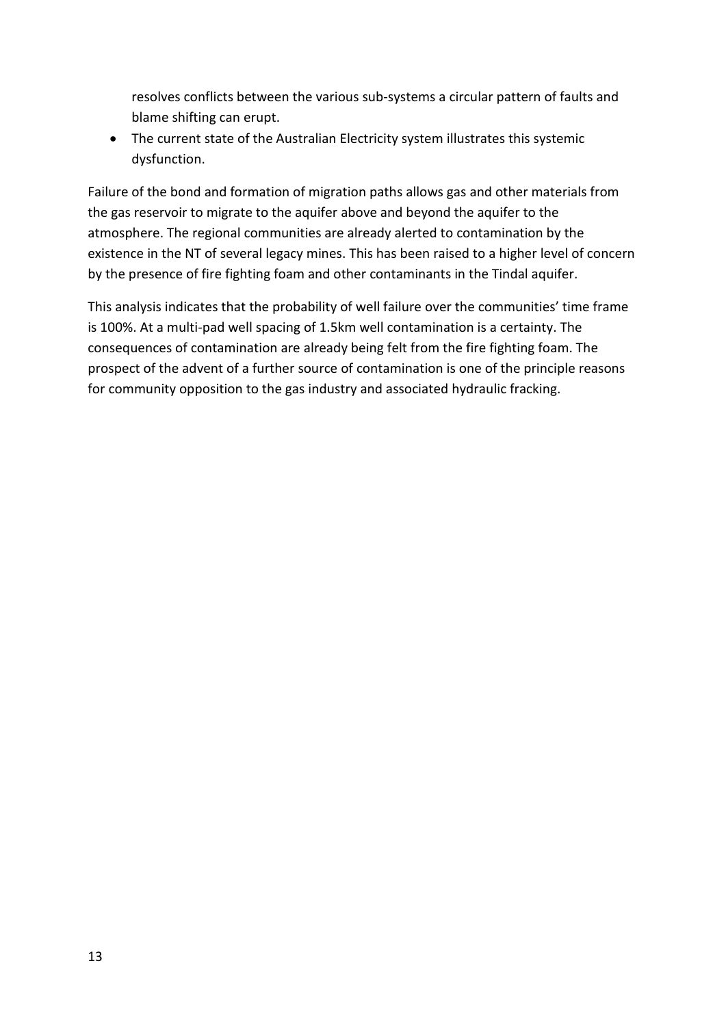resolves conflicts between the various sub-systems a circular pattern of faults and blame shifting can erupt.

• The current state of the Australian Electricity system illustrates this systemic dysfunction.

Failure of the bond and formation of migration paths allows gas and other materials from the gas reservoir to migrate to the aquifer above and beyond the aquifer to the atmosphere. The regional communities are already alerted to contamination by the existence in the NT of several legacy mines. This has been raised to a higher level of concern by the presence of fire fighting foam and other contaminants in the Tindal aquifer.

This analysis indicates that the probability of well failure over the communities' time frame is 100%. At a multi-pad well spacing of 1.5km well contamination is a certainty. The consequences of contamination are already being felt from the fire fighting foam. The prospect of the advent of a further source of contamination is one of the principle reasons for community opposition to the gas industry and associated hydraulic fracking.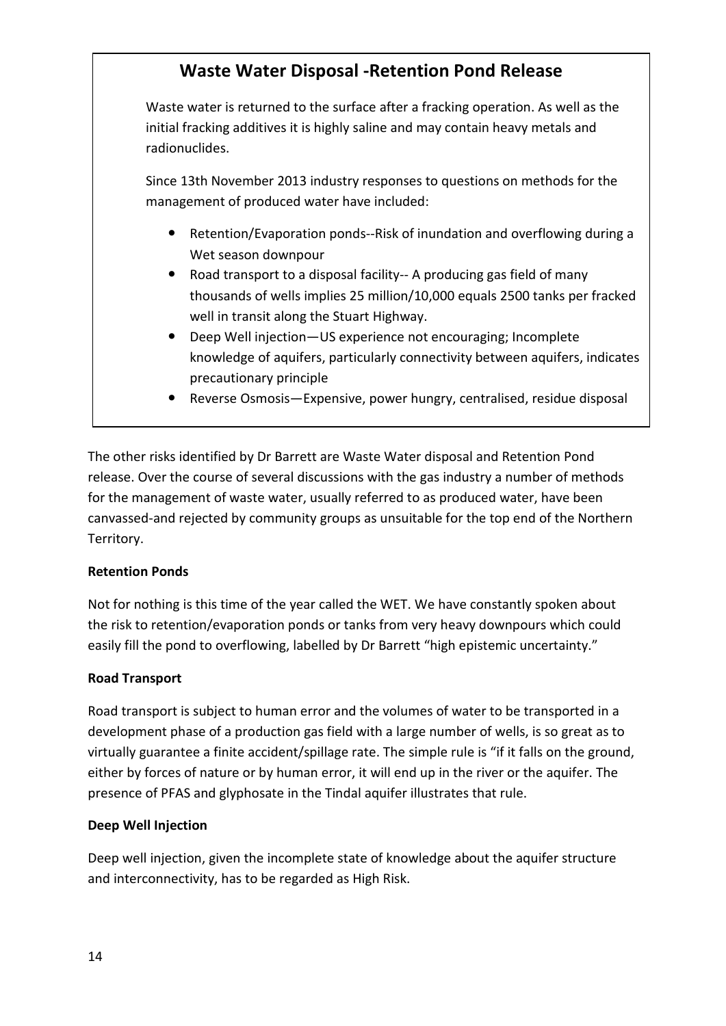# **Waste Water Disposal -Retention Pond Release** Waste water is returned to the surface after a fracking operation. As well as the initial fracking additives it is highly saline and may contain heavy metals and radionuclides. Since 13th November 2013 industry responses to questions on methods for the management of produced water have included: Retention/Evaporation ponds--Risk of inundation and overflowing during a Wet season downpour Road transport to a disposal facility-- A producing gas field of many thousands of wells implies 25 million/10,000 equals 2500 tanks per fracked well in transit along the Stuart Highway. Deep Well injection—US experience not encouraging; Incomplete knowledge of aquifers, particularly connectivity between aquifers, indicates precautionary principle Reverse Osmosis—Expensive, power hungry, centralised, residue disposal

The other risks identified by Dr Barrett are Waste Water disposal and Retention Pond release. Over the course of several discussions with the gas industry a number of methods for the management of waste water, usually referred to as produced water, have been canvassed-and rejected by community groups as unsuitable for the top end of the Northern Territory.

# **Retention Ponds**

Not for nothing is this time of the year called the WET. We have constantly spoken about the risk to retention/evaporation ponds or tanks from very heavy downpours which could easily fill the pond to overflowing, labelled by Dr Barrett "high epistemic uncertainty."

# **Road Transport**

Road transport is subject to human error and the volumes of water to be transported in a development phase of a production gas field with a large number of wells, is so great as to virtually guarantee a finite accident/spillage rate. The simple rule is "if it falls on the ground, either by forces of nature or by human error, it will end up in the river or the aquifer. The presence of PFAS and glyphosate in the Tindal aquifer illustrates that rule.

## **Deep Well Injection**

Deep well injection, given the incomplete state of knowledge about the aquifer structure and interconnectivity, has to be regarded as High Risk.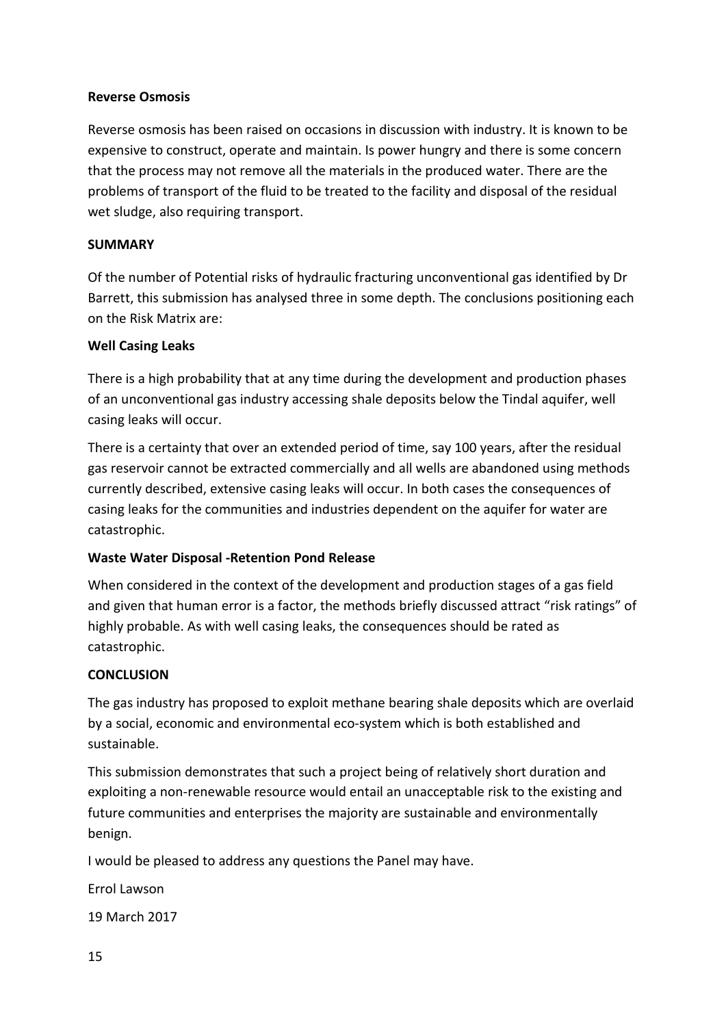## **Reverse Osmosis**

Reverse osmosis has been raised on occasions in discussion with industry. It is known to be expensive to construct, operate and maintain. Is power hungry and there is some concern that the process may not remove all the materials in the produced water. There are the problems of transport of the fluid to be treated to the facility and disposal of the residual wet sludge, also requiring transport.

#### **SUMMARY**

Of the number of Potential risks of hydraulic fracturing unconventional gas identified by Dr Barrett, this submission has analysed three in some depth. The conclusions positioning each on the Risk Matrix are:

## **Well Casing Leaks**

There is a high probability that at any time during the development and production phases of an unconventional gas industry accessing shale deposits below the Tindal aquifer, well casing leaks will occur.

There is a certainty that over an extended period of time, say 100 years, after the residual gas reservoir cannot be extracted commercially and all wells are abandoned using methods currently described, extensive casing leaks will occur. In both cases the consequences of casing leaks for the communities and industries dependent on the aquifer for water are catastrophic.

## **Waste Water Disposal -Retention Pond Release**

When considered in the context of the development and production stages of a gas field and given that human error is a factor, the methods briefly discussed attract "risk ratings" of highly probable. As with well casing leaks, the consequences should be rated as catastrophic.

## **CONCLUSION**

The gas industry has proposed to exploit methane bearing shale deposits which are overlaid by a social, economic and environmental eco-system which is both established and sustainable.

This submission demonstrates that such a project being of relatively short duration and exploiting a non-renewable resource would entail an unacceptable risk to the existing and future communities and enterprises the majority are sustainable and environmentally benign.

I would be pleased to address any questions the Panel may have.

Errol Lawson

19 March 2017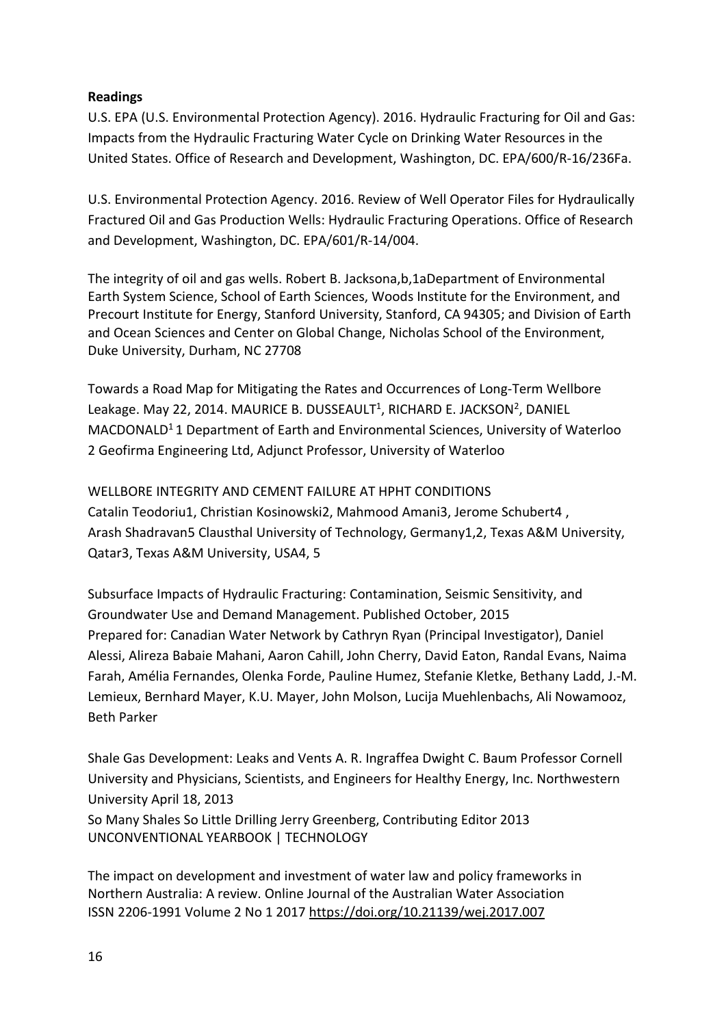## **Readings**

U.S. EPA (U.S. Environmental Protection Agency). 2016. Hydraulic Fracturing for Oil and Gas: Impacts from the Hydraulic Fracturing Water Cycle on Drinking Water Resources in the United States. Office of Research and Development, Washington, DC. EPA/600/R-16/236Fa.

U.S. Environmental Protection Agency. 2016. Review of Well Operator Files for Hydraulically Fractured Oil and Gas Production Wells: Hydraulic Fracturing Operations. Office of Research and Development, Washington, DC. EPA/601/R-14/004.

The integrity of oil and gas wells. Robert B. Jacksona,b,1aDepartment of Environmental Earth System Science, School of Earth Sciences, Woods Institute for the Environment, and Precourt Institute for Energy, Stanford University, Stanford, CA 94305; and Division of Earth and Ocean Sciences and Center on Global Change, Nicholas School of the Environment, Duke University, Durham, NC 27708

Towards a Road Map for Mitigating the Rates and Occurrences of Long-Term Wellbore Leakage. May 22, 2014. MAURICE B. DUSSEAULT<sup>1</sup>, RICHARD E. JACKSON<sup>2</sup>, DANIEL MACDONALD1 1 Department of Earth and Environmental Sciences, University of Waterloo 2 Geofirma Engineering Ltd, Adjunct Professor, University of Waterloo

WELLBORE INTEGRITY AND CEMENT FAILURE AT HPHT CONDITIONS Catalin Teodoriu1, Christian Kosinowski2, Mahmood Amani3, Jerome Schubert4 , Arash Shadravan5 Clausthal University of Technology, Germany1,2, Texas A&M University, Qatar3, Texas A&M University, USA4, 5

Subsurface Impacts of Hydraulic Fracturing: Contamination, Seismic Sensitivity, and Groundwater Use and Demand Management. Published October, 2015 Prepared for: Canadian Water Network by Cathryn Ryan (Principal Investigator), Daniel Alessi, Alireza Babaie Mahani, Aaron Cahill, John Cherry, David Eaton, Randal Evans, Naima Farah, Amélia Fernandes, Olenka Forde, Pauline Humez, Stefanie Kletke, Bethany Ladd, J.-M. Lemieux, Bernhard Mayer, K.U. Mayer, John Molson, Lucija Muehlenbachs, Ali Nowamooz, Beth Parker

Shale Gas Development: Leaks and Vents A. R. Ingraffea Dwight C. Baum Professor Cornell University and Physicians, Scientists, and Engineers for Healthy Energy, Inc. Northwestern University April 18, 2013

So Many Shales So Little Drilling Jerry Greenberg, Contributing Editor 2013 UNCONVENTIONAL YEARBOOK | TECHNOLOGY

The impact on development and investment of water law and policy frameworks in Northern Australia: A review. Online Journal of the Australian Water Association ISSN 2206-1991 Volume 2 No 1 2017<https://doi.org/10.21139/wej.2017.007>